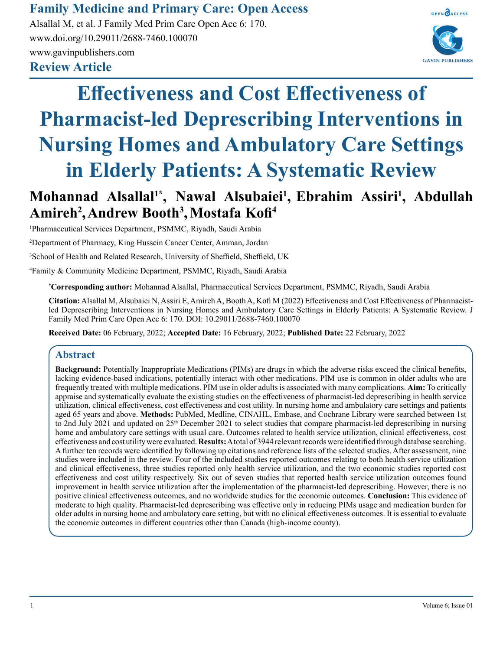# **Family Medicine and Primary Care: Open Access**

**Review Article** Alsallal M, et al. J Family Med Prim Care Open Acc 6: 170. www.doi.org/10.29011/2688-7460.100070 www.gavinpublishers.com



# **Effectiveness and Cost Effectiveness of Pharmacist-led Deprescribing Interventions in Nursing Homes and Ambulatory Care Settings in Elderly Patients: A Systematic Review**

# **Mohannad Alsallal1\*, Nawal Alsubaiei<sup>1</sup> , Ebrahim Assiri<sup>1</sup> , Abdullah Amireh<sup>2</sup> ,Andrew Booth<sup>3</sup> ,Mostafa Kofi<sup>4</sup>**

1 Pharmaceutical Services Department, PSMMC, Riyadh, Saudi Arabia

2 Department of Pharmacy, King Hussein Cancer Center, Amman, Jordan

3 School of Health and Related Research, University of Sheffield, Sheffield, UK

4 Family & Community Medicine Department, PSMMC, Riyadh, Saudi Arabia

**\* Corresponding author:** Mohannad Alsallal, Pharmaceutical Services Department, PSMMC, Riyadh, Saudi Arabia

**Citation:** Alsallal M, Alsubaiei N, Assiri E, Amireh A, Booth A, Kofi M (2022) Effectiveness and Cost Effectiveness of Pharmacistled Deprescribing Interventions in Nursing Homes and Ambulatory Care Settings in Elderly Patients: A Systematic Review. J Family Med Prim Care Open Acc 6: 170. DOI: 10.29011/2688-7460.100070

**Received Date:** 06 February, 2022; **Accepted Date:** 16 February, 2022; **Published Date:** 22 February, 2022

# **Abstract**

**Background:** Potentially Inappropriate Medications (PIMs) are drugs in which the adverse risks exceed the clinical benefits, lacking evidence-based indications, potentially interact with other medications. PIM use is common in older adults who are frequently treated with multiple medications. PIM use in older adults is associated with many complications. **Aim:** To critically appraise and systematically evaluate the existing studies on the effectiveness of pharmacist-led deprescribing in health service utilization, clinical effectiveness, cost effectiveness and cost utility. In nursing home and ambulatory care settings and patients aged 65 years and above. **Methods:** PubMed, Medline, CINAHL, Embase, and Cochrane Library were searched between 1st to 2nd July 2021 and updated on 25th December 2021 to select studies that compare pharmacist-led deprescribing in nursing home and ambulatory care settings with usual care. Outcomes related to health service utilization, clinical effectiveness, cost effectiveness and cost utility were evaluated. **Results:** A total of 3944 relevant records were identified through database searching. A further ten records were identified by following up citations and reference lists of the selected studies. After assessment, nine studies were included in the review. Four of the included studies reported outcomes relating to both health service utilization and clinical effectiveness, three studies reported only health service utilization, and the two economic studies reported cost effectiveness and cost utility respectively. Six out of seven studies that reported health service utilization outcomes found improvement in health service utilization after the implementation of the pharmacist-led deprescribing. However, there is no positive clinical effectiveness outcomes, and no worldwide studies for the economic outcomes. **Conclusion:** This evidence of moderate to high quality. Pharmacist-led deprescribing was effective only in reducing PIMs usage and medication burden for older adults in nursing home and ambulatory care setting, but with no clinical effectiveness outcomes. It is essential to evaluate the economic outcomes in different countries other than Canada (high-income county).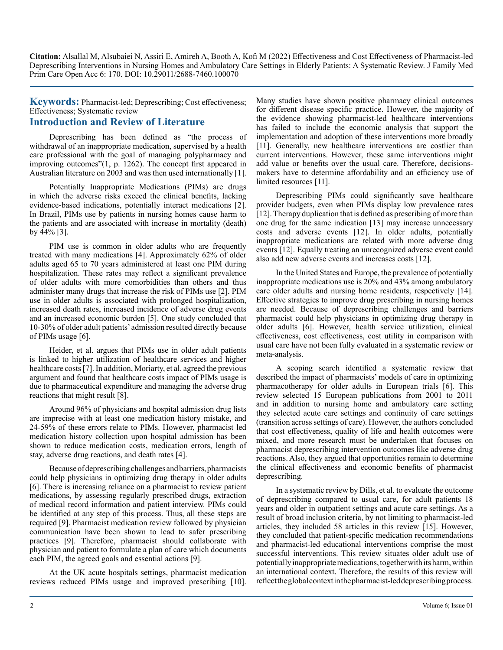**Keywords:** Pharmacist-led; Deprescribing; Cost effectiveness; Effectiveness; Systematic review

# **Introduction and Review of Literature**

Deprescribing has been defined as "the process of withdrawal of an inappropriate medication, supervised by a health care professional with the goal of managing polypharmacy and improving outcomes"(1, p. 1262). The concept first appeared in Australian literature on 2003 and was then used internationally [1].

Potentially Inappropriate Medications (PIMs) are drugs in which the adverse risks exceed the clinical benefits, lacking evidence-based indications, potentially interact medications [2]. In Brazil, PIMs use by patients in nursing homes cause harm to the patients and are associated with increase in mortality (death) by 44% [3].

PIM use is common in older adults who are frequently treated with many medications [4]. Approximately 62% of older adults aged 65 to 70 years administered at least one PIM during hospitalization. These rates may reflect a significant prevalence of older adults with more comorbidities than others and thus administer many drugs that increase the risk of PIMs use [2]. PIM use in older adults is associated with prolonged hospitalization, increased death rates, increased incidence of adverse drug events and an increased economic burden [5]. One study concluded that 10-30% of older adult patients' admission resulted directly because of PIMs usage [6].

Heider, et al. argues that PIMs use in older adult patients is linked to higher utilization of healthcare services and higher healthcare costs [7]. In addition, Moriarty, et al. agreed the previous argument and found that healthcare costs impact of PIMs usage is due to pharmaceutical expenditure and managing the adverse drug reactions that might result [8].

Around 96% of physicians and hospital admission drug lists are imprecise with at least one medication history mistake, and 24-59% of these errors relate to PIMs. However, pharmacist led medication history collection upon hospital admission has been shown to reduce medication costs, medication errors, length of stay, adverse drug reactions, and death rates [4].

Because of deprescribing challenges and barriers, pharmacists could help physicians in optimizing drug therapy in older adults [6]. There is increasing reliance on a pharmacist to review patient medications, by assessing regularly prescribed drugs, extraction of medical record information and patient interview. PIMs could be identified at any step of this process. Thus, all these steps are required [9]. Pharmacist medication review followed by physician communication have been shown to lead to safer prescribing practices [9]. Therefore, pharmacist should collaborate with physician and patient to formulate a plan of care which documents each PIM, the agreed goals and essential actions [9].

At the UK acute hospitals settings, pharmacist medication reviews reduced PIMs usage and improved prescribing [10].

Many studies have shown positive pharmacy clinical outcomes for different disease specific practice. However, the majority of the evidence showing pharmacist-led healthcare interventions has failed to include the economic analysis that support the implementation and adoption of these interventions more broadly [11]. Generally, new healthcare interventions are costlier than current interventions. However, these same interventions might add value or benefits over the usual care. Therefore, decisionsmakers have to determine affordability and an efficiency use of limited resources [11].

Deprescribing PIMs could significantly save healthcare provider budgets, even when PIMs display low prevalence rates [12]. Therapy duplication that is defined as prescribing of more than one drug for the same indication [13] may increase unnecessary costs and adverse events [12]. In older adults, potentially inappropriate medications are related with more adverse drug events [12]. Equally treating an unrecognized adverse event could also add new adverse events and increases costs [12].

In the United States and Europe, the prevalence of potentially inappropriate medications use is 20% and 43% among ambulatory care older adults and nursing home residents, respectively [14]. Effective strategies to improve drug prescribing in nursing homes are needed. Because of deprescribing challenges and barriers pharmacist could help physicians in optimizing drug therapy in older adults [6]. However, health service utilization, clinical effectiveness, cost effectiveness, cost utility in comparison with usual care have not been fully evaluated in a systematic review or meta-analysis.

A scoping search identified a systematic review that described the impact of pharmacists' models of care in optimizing pharmacotherapy for older adults in European trials [6]. This review selected 15 European publications from 2001 to 2011 and in addition to nursing home and ambulatory care setting they selected acute care settings and continuity of care settings (transition across settings of care). However, the authors concluded that cost effectiveness, quality of life and health outcomes were mixed, and more research must be undertaken that focuses on pharmacist deprescribing intervention outcomes like adverse drug reactions. Also, they argued that opportunities remain to determine the clinical effectiveness and economic benefits of pharmacist deprescribing.

In a systematic review by Dills, et al. to evaluate the outcome of deprescribing compared to usual care, for adult patients 18 years and older in outpatient settings and acute care settings. As a result of broad inclusion criteria, by not limiting to pharmacist-led articles, they included 58 articles in this review [15]. However, they concluded that patient-specific medication recommendations and pharmacist-led educational interventions comprise the most successful interventions. This review situates older adult use of potentially inappropriate medications, together with its harm, within an international context. Therefore, the results of this review will reflect the global context in the pharmacist-led deprescribing process.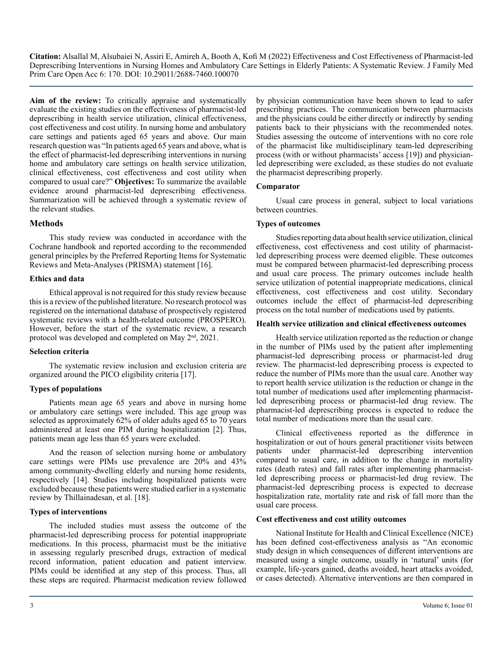**Aim of the review:** To critically appraise and systematically evaluate the existing studies on the effectiveness of pharmacist-led deprescribing in health service utilization, clinical effectiveness, cost effectiveness and cost utility. In nursing home and ambulatory care settings and patients aged 65 years and above. Our main research question was "In patients aged 65 years and above, what is the effect of pharmacist-led deprescribing interventions in nursing home and ambulatory care settings on health service utilization, clinical effectiveness, cost effectiveness and cost utility when compared to usual care?" **Objectives:** To summarize the available evidence around pharmacist-led deprescribing effectiveness. Summarization will be achieved through a systematic review of the relevant studies.

# **Methods**

This study review was conducted in accordance with the Cochrane handbook and reported according to the recommended general principles by the Preferred Reporting Items for Systematic Reviews and Meta-Analyses (PRISMA) statement [16].

#### **Ethics and data**

Ethical approval is not required for this study review because this is a review of the published literature. No research protocol was registered on the international database of prospectively registered systematic reviews with a health-related outcome (PROSPERO). However, before the start of the systematic review, a research protocol was developed and completed on May 2<sup>nd</sup>, 2021.

# **Selection criteria**

The systematic review inclusion and exclusion criteria are organized around the PICO eligibility criteria [17].

# **Types of populations**

Patients mean age 65 years and above in nursing home or ambulatory care settings were included. This age group was selected as approximately 62% of older adults aged 65 to 70 years administered at least one PIM during hospitalization [2]. Thus, patients mean age less than 65 years were excluded.

And the reason of selection nursing home or ambulatory care settings were PIMs use prevalence are 20% and 43% among community-dwelling elderly and nursing home residents, respectively [14]. Studies including hospitalized patients were excluded because these patients were studied earlier in a systematic review by Thillainadesan, et al. [18].

# **Types of interventions**

The included studies must assess the outcome of the pharmacist-led deprescribing process for potential inappropriate medications. In this process, pharmacist must be the initiative in assessing regularly prescribed drugs, extraction of medical record information, patient education and patient interview. PIMs could be identified at any step of this process. Thus, all these steps are required. Pharmacist medication review followed

by physician communication have been shown to lead to safer prescribing practices. The communication between pharmacists and the physicians could be either directly or indirectly by sending patients back to their physicians with the recommended notes. Studies assessing the outcome of interventions with no core role of the pharmacist like multidisciplinary team-led deprescribing process (with or without pharmacists' access [19]) and physicianled deprescribing were excluded, as these studies do not evaluate the pharmacist deprescribing properly.

# **Comparator**

Usual care process in general, subject to local variations between countries.

# **Types of outcomes**

Studies reporting data about health service utilization, clinical effectiveness, cost effectiveness and cost utility of pharmacistled deprescribing process were deemed eligible. These outcomes must be compared between pharmacist-led deprescribing process and usual care process. The primary outcomes include health service utilization of potential inappropriate medications, clinical effectiveness, cost effectiveness and cost utility. Secondary outcomes include the effect of pharmacist-led deprescribing process on the total number of medications used by patients.

#### **Health service utilization and clinical effectiveness outcomes**

Health service utilization reported as the reduction or change in the number of PIMs used by the patient after implementing pharmacist-led deprescribing process or pharmacist-led drug review. The pharmacist-led deprescribing process is expected to reduce the number of PIMs more than the usual care. Another way to report health service utilization is the reduction or change in the total number of medications used after implementing pharmacistled deprescribing process or pharmacist-led drug review. The pharmacist-led deprescribing process is expected to reduce the total number of medications more than the usual care.

Clinical effectiveness reported as the difference in hospitalization or out of hours general practitioner visits between patients under pharmacist-led deprescribing intervention compared to usual care, in addition to the change in mortality rates (death rates) and fall rates after implementing pharmacistled deprescribing process or pharmacist-led drug review. The pharmacist-led deprescribing process is expected to decrease hospitalization rate, mortality rate and risk of fall more than the usual care process.

# **Cost effectiveness and cost utility outcomes**

National Institute for Health and Clinical Excellence (NICE) has been defined cost-effectiveness analysis as "An economic study design in which consequences of different interventions are measured using a single outcome, usually in 'natural' units (for example, life-years gained, deaths avoided, heart attacks avoided, or cases detected). Alternative interventions are then compared in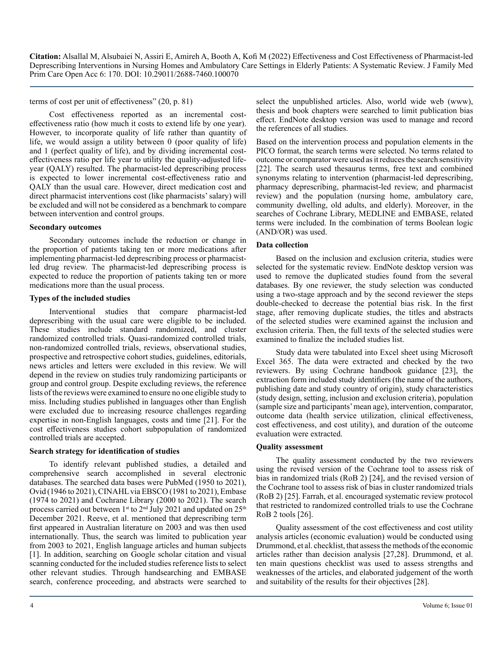terms of cost per unit of effectiveness" (20, p. 81)

Cost effectiveness reported as an incremental costeffectiveness ratio (how much it costs to extend life by one year). However, to incorporate quality of life rather than quantity of life, we would assign a utility between 0 (poor quality of life) and 1 (perfect quality of life), and by dividing incremental costeffectiveness ratio per life year to utility the quality-adjusted lifeyear (QALY) resulted. The pharmacist-led deprescribing process is expected to lower incremental cost-effectiveness ratio and QALY than the usual care. However, direct medication cost and direct pharmacist interventions cost (like pharmacists' salary) will be excluded and will not be considered as a benchmark to compare between intervention and control groups.

#### **Secondary outcomes**

Secondary outcomes include the reduction or change in the proportion of patients taking ten or more medications after implementing pharmacist-led deprescribing process or pharmacistled drug review. The pharmacist-led deprescribing process is expected to reduce the proportion of patients taking ten or more medications more than the usual process.

#### **Types of the included studies**

Interventional studies that compare pharmacist-led deprescribing with the usual care were eligible to be included. These studies include standard randomized, and cluster randomized controlled trials. Quasi-randomized controlled trials, non-randomized controlled trials, reviews, observational studies, prospective and retrospective cohort studies, guidelines, editorials, news articles and letters were excluded in this review. We will depend in the review on studies truly randomizing participants or group and control group. Despite excluding reviews, the reference lists of the reviews were examined to ensure no one eligible study to miss. Including studies published in languages other than English were excluded due to increasing resource challenges regarding expertise in non-English languages, costs and time [21]. For the cost effectiveness studies cohort subpopulation of randomized controlled trials are accepted.

#### **Search strategy for identification of studies**

To identify relevant published studies, a detailed and comprehensive search accomplished in several electronic databases. The searched data bases were PubMed (1950 to 2021), Ovid (1946 to 2021), CINAHL via EBSCO (1981 to 2021), Embase (1974 to 2021) and Cochrane Library (2000 to 2021). The search process carried out between 1st to  $2<sup>nd</sup>$  July 2021 and updated on  $25<sup>th</sup>$ December 2021. Reeve, et al. mentioned that deprescribing term first appeared in Australian literature on 2003 and was then used internationally. Thus, the search was limited to publication year from 2003 to 2021, English language articles and human subjects [1]. In addition, searching on Google scholar citation and visual scanning conducted for the included studies reference lists to select other relevant studies. Through handsearching and EMBASE search, conference proceeding, and abstracts were searched to

select the unpublished articles. Also, world wide web (www), thesis and book chapters were searched to limit publication bias effect. EndNote desktop version was used to manage and record the references of all studies.

Based on the intervention process and population elements in the PICO format, the search terms were selected. No terms related to outcome or comparator were used as it reduces the search sensitivity [22]. The search used thesaurus terms, free text and combined synonyms relating to intervention (pharmacist-led deprescribing, pharmacy deprescribing, pharmacist-led review, and pharmacist review) and the population (nursing home, ambulatory care, community dwelling, old adults, and elderly). Moreover, in the searches of Cochrane Library, MEDLINE and EMBASE, related terms were included. In the combination of terms Boolean logic (AND/OR) was used.

#### **Data collection**

Based on the inclusion and exclusion criteria, studies were selected for the systematic review. EndNote desktop version was used to remove the duplicated studies found from the several databases. By one reviewer, the study selection was conducted using a two-stage approach and by the second reviewer the steps double-checked to decrease the potential bias risk. In the first stage, after removing duplicate studies, the titles and abstracts of the selected studies were examined against the inclusion and exclusion criteria. Then, the full texts of the selected studies were examined to finalize the included studies list.

Study data were tabulated into Excel sheet using Microsoft Excel 365. The data were extracted and checked by the two reviewers. By using Cochrane handbook guidance [23], the extraction form included study identifiers (the name of the authors, publishing date and study country of origin), study characteristics (study design, setting, inclusion and exclusion criteria), population (sample size and participants' mean age), intervention, comparator, outcome data (health service utilization, clinical effectiveness, cost effectiveness, and cost utility), and duration of the outcome evaluation were extracted.

# **Quality assessment**

The quality assessment conducted by the two reviewers using the revised version of the Cochrane tool to assess risk of bias in randomized trials (RoB 2) [24], and the revised version of the Cochrane tool to assess risk of bias in cluster randomized trials (RoB 2) [25]. Farrah, et al. encouraged systematic review protocol that restricted to randomized controlled trials to use the Cochrane RoB 2 tools [26].

Quality assessment of the cost effectiveness and cost utility analysis articles (economic evaluation) would be conducted using Drummond, et al. checklist, that assess the methods of the economic articles rather than decision analysis [27,28]. Drummond, et al. ten main questions checklist was used to assess strengths and weaknesses of the articles, and elaborated judgement of the worth and suitability of the results for their objectives [28].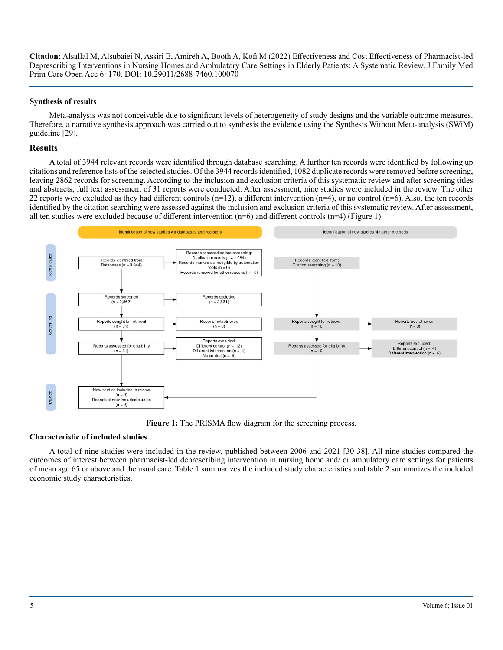#### **Synthesis of results**

Meta-analysis was not conceivable due to significant levels of heterogeneity of study designs and the variable outcome measures. Therefore, a narrative synthesis approach was carried out to synthesis the evidence using the Synthesis Without Meta-analysis (SWiM) guideline [29].

#### **Results**

A total of 3944 relevant records were identified through database searching. A further ten records were identified by following up citations and reference lists of the selected studies. Of the 3944 records identified, 1082 duplicate records were removed before screening, leaving 2862 records for screening. According to the inclusion and exclusion criteria of this systematic review and after screening titles and abstracts, full text assessment of 31 reports were conducted. After assessment, nine studies were included in the review. The other 22 reports were excluded as they had different controls  $(n=12)$ , a different intervention  $(n=4)$ , or no control  $(n=6)$ . Also, the ten records identified by the citation searching were assessed against the inclusion and exclusion criteria of this systematic review. After assessment, all ten studies were excluded because of different intervention (n=6) and different controls (n=4) (Figure 1).



Figure 1: The PRISMA flow diagram for the screening process.

#### **Characteristic of included studies**

A total of nine studies were included in the review, published between 2006 and 2021 [30-38]. All nine studies compared the outcomes of interest between pharmacist-led deprescribing intervention in nursing home and/ or ambulatory care settings for patients of mean age 65 or above and the usual care. Table 1 summarizes the included study characteristics and table 2 summarizes the included economic study characteristics.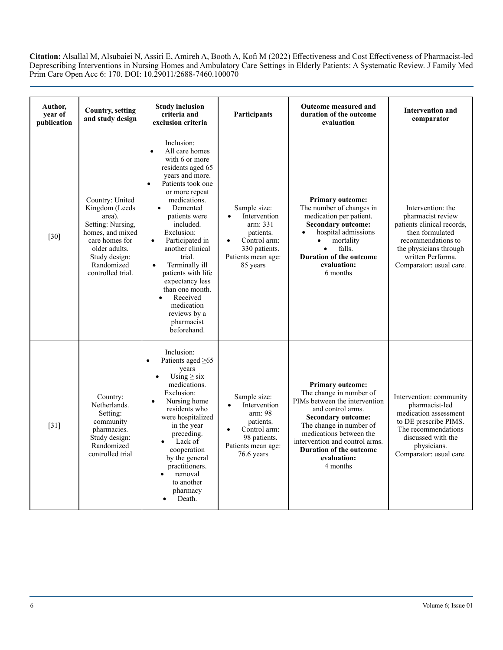| Author,<br>vear of<br>publication | <b>Country, setting</b><br>and study design                                                                                                                                 | <b>Study inclusion</b><br>criteria and<br>exclusion criteria                                                                                                                                                                                                                                                                                                                                                                          | <b>Participants</b>                                                                                                      | Outcome measured and<br>duration of the outcome<br>evaluation                                                                                                                                                                                                                       | <b>Intervention and</b><br>comparator                                                                                                                                                   |
|-----------------------------------|-----------------------------------------------------------------------------------------------------------------------------------------------------------------------------|---------------------------------------------------------------------------------------------------------------------------------------------------------------------------------------------------------------------------------------------------------------------------------------------------------------------------------------------------------------------------------------------------------------------------------------|--------------------------------------------------------------------------------------------------------------------------|-------------------------------------------------------------------------------------------------------------------------------------------------------------------------------------------------------------------------------------------------------------------------------------|-----------------------------------------------------------------------------------------------------------------------------------------------------------------------------------------|
| $[30]$                            | Country: United<br>Kingdom (Leeds<br>area).<br>Setting: Nursing,<br>homes, and mixed<br>care homes for<br>older adults.<br>Study design:<br>Randomized<br>controlled trial. | Inclusion:<br>All care homes<br>with 6 or more<br>residents aged 65<br>years and more.<br>Patients took one<br>or more repeat<br>medications.<br>Demented<br>patients were<br>included.<br>Exclusion:<br>Participated in<br>$\bullet$<br>another clinical<br>trial.<br>Terminally ill<br>$\bullet$<br>patients with life<br>expectancy less<br>than one month.<br>Received<br>medication<br>reviews by a<br>pharmacist<br>beforehand. | Sample size:<br>Intervention<br>arm: 331<br>patients.<br>Control arm:<br>330 patients.<br>Patients mean age:<br>85 years | <b>Primary outcome:</b><br>The number of changes in<br>medication per patient.<br><b>Secondary outcome:</b><br>hospital admissions<br>mortality<br>falls.<br><b>Duration of the outcome</b><br>evaluation:<br>6 months                                                              | Intervention: the<br>pharmacist review<br>patients clinical records,<br>then formulated<br>recommendations to<br>the physicians through<br>written Performa.<br>Comparator: usual care. |
| $[31]$                            | Country:<br>Netherlands.<br>Setting:<br>community<br>pharmacies.<br>Study design:<br>Randomized<br>controlled trial                                                         | Inclusion:<br>Patients aged ≥65<br>years<br>Using $\geq$ six<br>medications.<br>Exclusion:<br>Nursing home<br>residents who<br>were hospitalized<br>in the year<br>preceding.<br>Lack of<br>cooperation<br>by the general<br>practitioners.<br>removal<br>to another<br>pharmacy<br>Death.                                                                                                                                            | Sample size:<br>Intervention<br>arm: 98<br>patients.<br>Control arm:<br>98 patients.<br>Patients mean age:<br>76.6 years | <b>Primary outcome:</b><br>The change in number of<br>PIMs between the intervention<br>and control arms.<br><b>Secondary outcome:</b><br>The change in number of<br>medications between the<br>intervention and control arms.<br>Duration of the outcome<br>evaluation:<br>4 months | Intervention: community<br>pharmacist-led<br>medication assessment<br>to DE prescribe PIMS.<br>The recommendations<br>discussed with the<br>physicians.<br>Comparator: usual care.      |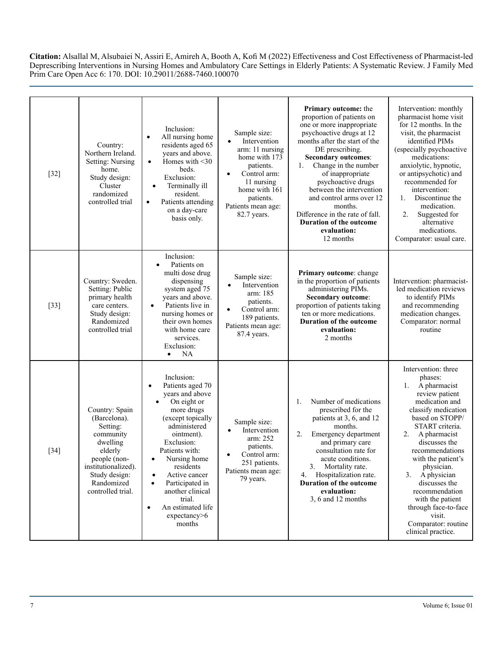| $[32]$ | Country:<br>Northern Ireland.<br><b>Setting: Nursing</b><br>home.<br>Study design:<br>Cluster<br>randomized<br>controlled trial                                           | Inclusion:<br>All nursing home<br>$\bullet$<br>residents aged 65<br>years and above.<br>Homes with $\leq 30$<br>$\bullet$<br>beds.<br>Exclusion:<br>Terminally ill<br>$\bullet$<br>resident.<br>Patients attending<br>$\bullet$<br>on a day-care<br>basis only.                                                                                                       | Sample size:<br>Intervention<br>arm: 11 nursing<br>home with 173<br>patients.<br>Control arm:<br>$\bullet$<br>11 nursing<br>home with 161<br>patients.<br>Patients mean age:<br>82.7 years. | Primary outcome: the<br>proportion of patients on<br>one or more inappropriate<br>psychoactive drugs at 12<br>months after the start of the<br>DE prescribing.<br><b>Secondary outcomes:</b><br>Change in the number<br>1.<br>of inappropriate<br>psychoactive drugs<br>between the intervention<br>and control arms over 12<br>months.<br>Difference in the rate of fall.<br>Duration of the outcome<br>evaluation:<br>12 months | Intervention: monthly<br>pharmacist home visit<br>for 12 months. In the<br>visit, the pharmacist<br>identified PIMs<br>(especially psychoactive<br>medications:<br>anxiolytic, hypnotic,<br>or antipsychotic) and<br>recommended for<br>intervention:<br>Discontinue the<br>1.<br>medication.<br>2.<br>Suggested for<br>alternative<br>medications.<br>Comparator: usual care.                                 |
|--------|---------------------------------------------------------------------------------------------------------------------------------------------------------------------------|-----------------------------------------------------------------------------------------------------------------------------------------------------------------------------------------------------------------------------------------------------------------------------------------------------------------------------------------------------------------------|---------------------------------------------------------------------------------------------------------------------------------------------------------------------------------------------|-----------------------------------------------------------------------------------------------------------------------------------------------------------------------------------------------------------------------------------------------------------------------------------------------------------------------------------------------------------------------------------------------------------------------------------|----------------------------------------------------------------------------------------------------------------------------------------------------------------------------------------------------------------------------------------------------------------------------------------------------------------------------------------------------------------------------------------------------------------|
| $[33]$ | Country: Sweden.<br>Setting: Public<br>primary health<br>care centers.<br>Study design:<br>Randomized<br>controlled trial                                                 | Inclusion:<br>Patients on<br>multi dose drug<br>dispensing<br>system aged 75<br>years and above.<br>Patients live in<br>$\bullet$<br>nursing homes or<br>their own homes<br>with home care<br>services.<br>Exclusion:<br><b>NA</b><br>$\bullet$                                                                                                                       | Sample size:<br>Intervention<br>arm: 185<br>patients.<br>Control arm:<br>189 patients.<br>Patients mean age:<br>87.4 years.                                                                 | Primary outcome: change<br>in the proportion of patients<br>administering PIMs.<br><b>Secondary outcome:</b><br>proportion of patients taking<br>ten or more medications.<br><b>Duration of the outcome</b><br>evaluation:<br>2 months                                                                                                                                                                                            | Intervention: pharmacist-<br>led medication reviews<br>to identify PIMs<br>and recommending<br>medication changes.<br>Comparator: normal<br>routine                                                                                                                                                                                                                                                            |
| $[34]$ | Country: Spain<br>(Barcelona).<br>Setting:<br>community<br>dwelling<br>elderly<br>people (non-<br>institutionalized).<br>Study design:<br>Randomized<br>controlled trial. | Inclusion:<br>Patients aged 70<br>$\bullet$<br>years and above<br>On eight or<br>more drugs<br>(except topically<br>administered<br>ointment).<br>Exclusion:<br>Patients with:<br>Nursing home<br>residents<br>Active cancer<br>$\bullet$<br>Participated in<br>$\bullet$<br>another clinical<br>trial.<br>An estimated life<br>$\bullet$<br>expectancy > 6<br>months | Sample size:<br>Intervention<br>arm: 252<br>patients.<br>Control arm:<br>251 patients.<br>Patients mean age:<br>79 years.                                                                   | Number of medications<br>1.<br>prescribed for the<br>patients at 3, 6, and 12<br>months.<br>2.<br>Emergency department<br>and primary care<br>consultation rate for<br>acute conditions.<br>3.<br>Mortality rate.<br>Hospitalization rate.<br>4.<br>Duration of the outcome<br>evaluation:<br>3, 6 and 12 months                                                                                                                  | Intervention: three<br>phases:<br>A pharmacist<br>1.<br>review patient<br>medication and<br>classify medication<br>based on STOPP/<br>START criteria.<br>2.<br>A pharmacist<br>discusses the<br>recommendations<br>with the patient's<br>physician.<br>A physician<br>3.<br>discusses the<br>recommendation<br>with the patient<br>through face-to-face<br>visit.<br>Comparator: routine<br>clinical practice. |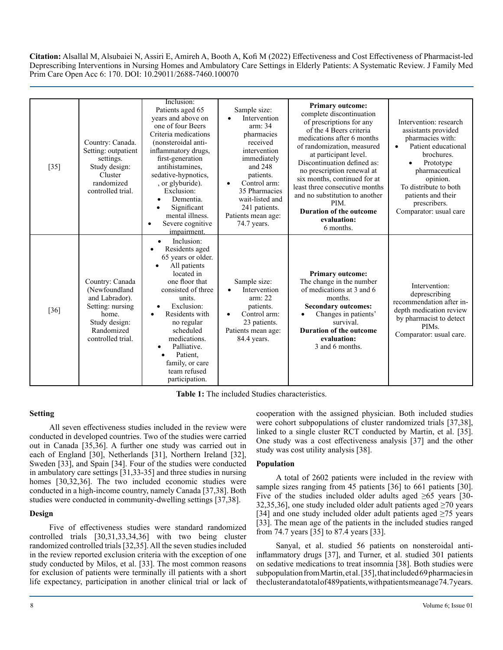| $[35]$ | Country: Canada.<br>Setting: outpatient<br>settings.<br>Study design:<br>Cluster<br>randomized<br>controlled trial.                 | Inclusion:<br>Patients aged 65<br>years and above on<br>one of four Beers<br>Criteria medications<br>(nonsteroidal anti-<br>inflammatory drugs,<br>first-generation<br>antihistamines,<br>sedative-hypnotics,<br>, or glyburide).<br>Exclusion:<br>Dementia.<br>Significant<br>mental illness.<br>Severe cognitive<br>$\bullet$<br>impairment. | Sample size:<br>Intervention<br>arm: 34<br>pharmacies<br>received<br>intervention<br>immediately<br>and 248<br>patients.<br>Control arm:<br>$\bullet$<br>35 Pharmacies<br>wait-listed and<br>241 patients.<br>Patients mean age:<br>74.7 years. | <b>Primary outcome:</b><br>complete discontinuation<br>of prescriptions for any<br>of the 4 Beers criteria<br>medications after 6 months<br>of randomization, measured<br>at participant level.<br>Discontinuation defined as:<br>no prescription renewal at<br>six months, continued for at<br>least three consecutive months<br>and no substitution to another<br>PIM.<br><b>Duration of the outcome</b><br>evaluation:<br>6 months. | Intervention: research<br>assistants provided<br>pharmacies with:<br>Patient educational<br>$\bullet$<br>brochures.<br>Prototype<br>pharmaceutical<br>opinion.<br>To distribute to both<br>patients and their<br>prescribers.<br>Comparator: usual care |
|--------|-------------------------------------------------------------------------------------------------------------------------------------|------------------------------------------------------------------------------------------------------------------------------------------------------------------------------------------------------------------------------------------------------------------------------------------------------------------------------------------------|-------------------------------------------------------------------------------------------------------------------------------------------------------------------------------------------------------------------------------------------------|----------------------------------------------------------------------------------------------------------------------------------------------------------------------------------------------------------------------------------------------------------------------------------------------------------------------------------------------------------------------------------------------------------------------------------------|---------------------------------------------------------------------------------------------------------------------------------------------------------------------------------------------------------------------------------------------------------|
| [36]   | Country: Canada<br>(Newfoundland<br>and Labrador).<br>Setting: nursing<br>home.<br>Study design:<br>Randomized<br>controlled trial. | Inclusion:<br>Residents aged<br>65 years or older.<br>All patients<br>located in<br>one floor that<br>consisted of three<br>units.<br>Exclusion:<br>Residents with<br>$\bullet$<br>no regular<br>scheduled<br>medications.<br>Palliative.<br>Patient,<br>family, or care<br>team refused<br>participation.                                     | Sample size:<br>Intervention<br>arm: 22<br>patients.<br>Control arm:<br>$\bullet$<br>23 patients.<br>Patients mean age:<br>84.4 years.                                                                                                          | <b>Primary outcome:</b><br>The change in the number<br>of medications at 3 and 6<br>months.<br><b>Secondary outcomes:</b><br>Changes in patients'<br>survival.<br><b>Duration of the outcome</b><br>evaluation:<br>3 and 6 months.                                                                                                                                                                                                     | Intervention:<br>deprescribing<br>recommendation after in-<br>depth medication review<br>by pharmacist to detect<br>PIM <sub>s</sub> .<br>Comparator: usual care.                                                                                       |

**Table 1:** The included Studies characteristics.

# **Setting**

All seven effectiveness studies included in the review were conducted in developed countries. Two of the studies were carried out in Canada [35,36]. A further one study was carried out in each of England [30], Netherlands [31], Northern Ireland [32], Sweden [33], and Spain [34]. Four of the studies were conducted in ambulatory care settings [31,33-35] and three studies in nursing homes [30,32,36]. The two included economic studies were conducted in a high-income country, namely Canada [37,38]. Both studies were conducted in community-dwelling settings [37,38].

# **Design**

Five of effectiveness studies were standard randomized controlled trials [30,31,33,34,36] with two being cluster randomized controlled trials [32,35]. All the seven studies included in the review reported exclusion criteria with the exception of one study conducted by Milos, et al. [33]. The most common reasons for exclusion of patients were terminally ill patients with a short life expectancy, participation in another clinical trial or lack of cooperation with the assigned physician. Both included studies were cohort subpopulations of cluster randomized trials [37,38], linked to a single cluster RCT conducted by Martin, et al. [35]. One study was a cost effectiveness analysis [37] and the other study was cost utility analysis [38].

# **Population**

A total of 2602 patients were included in the review with sample sizes ranging from 45 patients [36] to 661 patients [30]. Five of the studies included older adults aged  $\geq 65$  years [30-32,35,36], one study included older adult patients aged  $\geq$ 70 years [34] and one study included older adult patients aged ≥75 years [33]. The mean age of the patients in the included studies ranged from 74.7 years [35] to 87.4 years [33].

Sanyal, et al. studied 56 patients on nonsteroidal antiinflammatory drugs [37], and Turner, et al. studied 301 patients on sedative medications to treat insomnia [38]. Both studies were subpopulation from Martin, et al. [35], that included 69 pharmacies in the cluster and a total of 489 patients, with patients mean age 74.7 years.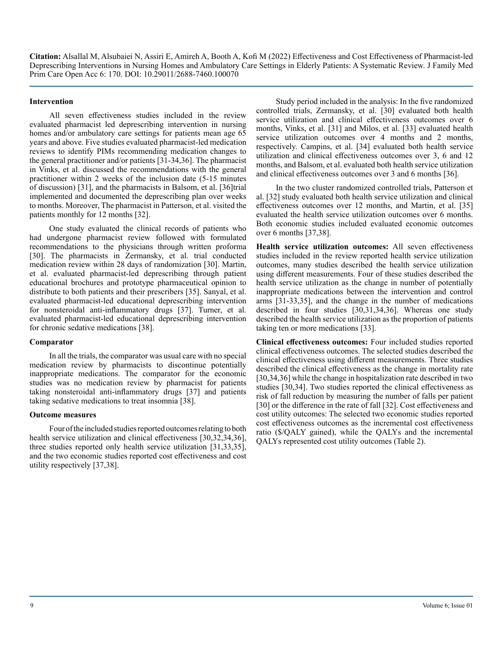#### **Intervention**

All seven effectiveness studies included in the review evaluated pharmacist led deprescribing intervention in nursing homes and/or ambulatory care settings for patients mean age 65 years and above. Five studies evaluated pharmacist-led medication reviews to identify PIMs recommending medication changes to the general practitioner and/or patients [31-34,36]. The pharmacist in Vinks, et al. discussed the recommendations with the general practitioner within 2 weeks of the inclusion date (5-15 minutes of discussion) [31], and the pharmacists in Balsom, et al. [36]trial implemented and documented the deprescribing plan over weeks to months. Moreover, The pharmacist in Patterson, et al. visited the patients monthly for 12 months [32].

One study evaluated the clinical records of patients who had undergone pharmacist review followed with formulated recommendations to the physicians through written proforma [30]. The pharmacists in Zermansky, et al. trial conducted medication review within 28 days of randomization [30]. Martin, et al. evaluated pharmacist-led deprescribing through patient educational brochures and prototype pharmaceutical opinion to distribute to both patients and their prescribers [35]. Sanyal, et al. evaluated pharmacist-led educational deprescribing intervention for nonsteroidal anti-inflammatory drugs [37]. Turner, et al. evaluated pharmacist-led educational deprescribing intervention for chronic sedative medications [38].

#### **Comparator**

In all the trials, the comparator was usual care with no special medication review by pharmacists to discontinue potentially inappropriate medications. The comparator for the economic studies was no medication review by pharmacist for patients taking nonsteroidal anti-inflammatory drugs [37] and patients taking sedative medications to treat insomnia [38].

#### **Outcome measures**

Four of the included studies reported outcomes relating to both health service utilization and clinical effectiveness [30,32,34,36], three studies reported only health service utilization [31,33,35], and the two economic studies reported cost effectiveness and cost utility respectively [37,38].

Study period included in the analysis: In the five randomized controlled trials, Zermansky, et al. [30] evaluated both health service utilization and clinical effectiveness outcomes over 6 months, Vinks, et al. [31] and Milos, et al. [33] evaluated health service utilization outcomes over 4 months and 2 months, respectively. Campins, et al. [34] evaluated both health service utilization and clinical effectiveness outcomes over 3, 6 and 12 months, and Balsom, et al. evaluated both health service utilization and clinical effectiveness outcomes over 3 and 6 months [36].

In the two cluster randomized controlled trials, Patterson et al. [32] study evaluated both health service utilization and clinical effectiveness outcomes over 12 months, and Martin, et al. [35] evaluated the health service utilization outcomes over 6 months. Both economic studies included evaluated economic outcomes over 6 months [37,38].

**Health service utilization outcomes:** All seven effectiveness studies included in the review reported health service utilization outcomes, many studies described the health service utilization using different measurements. Four of these studies described the health service utilization as the change in number of potentially inappropriate medications between the intervention and control arms [31-33,35], and the change in the number of medications described in four studies [30,31,34,36]. Whereas one study described the health service utilization as the proportion of patients taking ten or more medications [33].

**Clinical effectiveness outcomes:** Four included studies reported clinical effectiveness outcomes. The selected studies described the clinical effectiveness using different measurements. Three studies described the clinical effectiveness as the change in mortality rate [30,34,36] while the change in hospitalization rate described in two studies [30,34]. Two studies reported the clinical effectiveness as risk of fall reduction by measuring the number of falls per patient [30] or the difference in the rate of fall [32]. Cost effectiveness and cost utility outcomes: The selected two economic studies reported cost effectiveness outcomes as the incremental cost effectiveness ratio (\$/QALY gained), while the QALYs and the incremental QALYs represented cost utility outcomes (Table 2).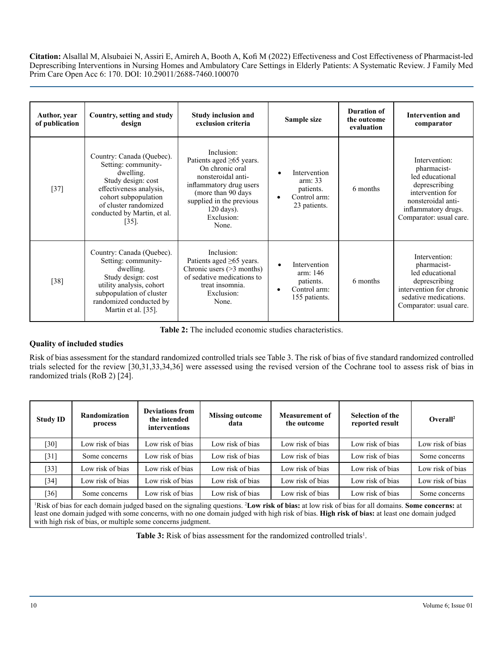| Author, year<br>of publication | Country, setting and study<br>design                                                                                                                                                                       | <b>Study inclusion and</b><br>exclusion criteria                                                                                                                                                                    | Sample size                                                            | <b>Duration of</b><br>the outcome<br>evaluation | <b>Intervention and</b><br>comparator                                                                                                                        |
|--------------------------------|------------------------------------------------------------------------------------------------------------------------------------------------------------------------------------------------------------|---------------------------------------------------------------------------------------------------------------------------------------------------------------------------------------------------------------------|------------------------------------------------------------------------|-------------------------------------------------|--------------------------------------------------------------------------------------------------------------------------------------------------------------|
| $[37]$                         | Country: Canada (Quebec).<br>Setting: community-<br>dwelling.<br>Study design: cost<br>effectiveness analysis,<br>cohort subpopulation<br>of cluster randomized<br>conducted by Martin, et al.<br>$[35]$ . | Inclusion:<br>Patients aged $\geq 65$ years.<br>On chronic oral<br>nonsteroidal anti-<br>inflammatory drug users<br>(more than 90 days)<br>supplied in the previous<br>$120 \text{ days}$ ).<br>Exclusion:<br>None. | Intervention<br>arm: 33<br>patients.<br>Control arm:<br>23 patients.   | 6 months                                        | Intervention:<br>pharmacist-<br>led educational<br>deprescribing<br>intervention for<br>nonsteroidal anti-<br>inflammatory drugs.<br>Comparator: usual care. |
| $[38]$                         | Country: Canada (Quebec).<br>Setting: community-<br>dwelling.<br>Study design: cost<br>utility analysis, cohort<br>subpopulation of cluster<br>randomized conducted by<br>Martin et al. [35].              | Inclusion:<br>Patients aged $\geq 65$ years.<br>Chronic users $($ >3 months)<br>of sedative medications to<br>treat insomnia.<br>Exclusion:<br>None.                                                                | Intervention<br>arm: 146<br>patients.<br>Control arm:<br>155 patients. | 6 months                                        | Intervention:<br>pharmacist-<br>led educational<br>deprescribing<br>intervention for chronic<br>sedative medications.<br>Comparator: usual care.             |

**Table 2:** The included economic studies characteristics.

# **Quality of included studies**

Risk of bias assessment for the standard randomized controlled trials see Table 3. The risk of bias of five standard randomized controlled trials selected for the review [30,31,33,34,36] were assessed using the revised version of the Cochrane tool to assess risk of bias in randomized trials (RoB 2) [24].

| <b>Study ID</b> | Randomization<br>process | <b>Deviations from</b><br>the intended<br><b>interventions</b> | <b>Missing outcome</b><br>data | <b>Measurement of</b><br>the outcome | <b>Selection of the</b><br>reported result | Overall <sup>2</sup> |
|-----------------|--------------------------|----------------------------------------------------------------|--------------------------------|--------------------------------------|--------------------------------------------|----------------------|
| $[30]$          | Low risk of bias         | Low risk of bias                                               | Low risk of bias               | Low risk of bias                     | Low risk of bias                           | Low risk of bias     |
| $[31]$          | Some concerns            | Low risk of bias                                               | Low risk of bias               | Low risk of bias                     | Low risk of bias                           | Some concerns        |
| $[33]$          | Low risk of bias         | Low risk of bias                                               | Low risk of bias               | Low risk of bias                     | Low risk of bias                           | Low risk of bias     |
| $[34]$          | Low risk of bias         | Low risk of bias                                               | Low risk of bias               | Low risk of bias                     | Low risk of bias                           | Low risk of bias     |
| $[36]$          | Some concerns            | Low risk of bias                                               | Low risk of bias               | Low risk of bias                     | Low risk of bias                           | Some concerns        |

<sup>1</sup>Risk of bias for each domain judged based on the signaling questions. <sup>2</sup>Low risk of bias: at low risk of bias for all domains. Some concerns: at least one domain judged with some concerns, with no one domain judged with high risk of bias. **High risk of bias:** at least one domain judged with high risk of bias, or multiple some concerns judgment.

Table 3: Risk of bias assessment for the randomized controlled trials<sup>1</sup>.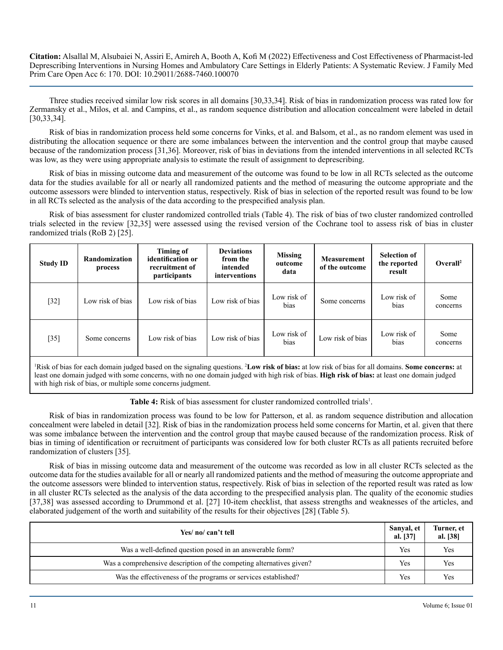Three studies received similar low risk scores in all domains [30,33,34]. Risk of bias in randomization process was rated low for Zermansky et al., Milos, et al. and Campins, et al., as random sequence distribution and allocation concealment were labeled in detail [30,33,34].

Risk of bias in randomization process held some concerns for Vinks, et al. and Balsom, et al., as no random element was used in distributing the allocation sequence or there are some imbalances between the intervention and the control group that maybe caused because of the randomization process [31,36]. Moreover, risk of bias in deviations from the intended interventions in all selected RCTs was low, as they were using appropriate analysis to estimate the result of assignment to deprescribing.

Risk of bias in missing outcome data and measurement of the outcome was found to be low in all RCTs selected as the outcome data for the studies available for all or nearly all randomized patients and the method of measuring the outcome appropriate and the outcome assessors were blinded to intervention status, respectively. Risk of bias in selection of the reported result was found to be low in all RCTs selected as the analysis of the data according to the prespecified analysis plan.

Risk of bias assessment for cluster randomized controlled trials (Table 4). The risk of bias of two cluster randomized controlled trials selected in the review [32,35] were assessed using the revised version of the Cochrane tool to assess risk of bias in cluster randomized trials (RoB 2) [25].

| <b>Study ID</b> | Randomization<br>process | Timing of<br>identification or<br>recruitment of<br>participants | <b>Deviations</b><br>from the<br>intended<br>interventions | <b>Missing</b><br>outcome<br>data | <b>Measurement</b><br>of the outcome | <b>Selection of</b><br>the reported<br>result | Overall <sup>2</sup> |
|-----------------|--------------------------|------------------------------------------------------------------|------------------------------------------------------------|-----------------------------------|--------------------------------------|-----------------------------------------------|----------------------|
| $[32]$          | Low risk of bias         | Low risk of bias                                                 | Low risk of bias                                           | Low risk of<br>bias               | Some concerns                        | Low risk of<br>bias                           | Some<br>concerns     |
| $[35]$          | Some concerns            | Low risk of bias                                                 | Low risk of bias                                           | Low risk of<br>bias               | Low risk of bias                     | Low risk of<br>bias                           | Some<br>concerns     |

<sup>1</sup>Risk of bias for each domain judged based on the signaling questions. <sup>2</sup>Low risk of bias: at low risk of bias for all domains. Some concerns: at least one domain judged with some concerns, with no one domain judged with high risk of bias. **High risk of bias:** at least one domain judged with high risk of bias, or multiple some concerns judgment.

Table 4: Risk of bias assessment for cluster randomized controlled trials<sup>1</sup>.

Risk of bias in randomization process was found to be low for Patterson, et al. as random sequence distribution and allocation concealment were labeled in detail [32]. Risk of bias in the randomization process held some concerns for Martin, et al. given that there was some imbalance between the intervention and the control group that maybe caused because of the randomization process. Risk of bias in timing of identification or recruitment of participants was considered low for both cluster RCTs as all patients recruited before randomization of clusters [35].

Risk of bias in missing outcome data and measurement of the outcome was recorded as low in all cluster RCTs selected as the outcome data for the studies available for all or nearly all randomized patients and the method of measuring the outcome appropriate and the outcome assessors were blinded to intervention status, respectively. Risk of bias in selection of the reported result was rated as low in all cluster RCTs selected as the analysis of the data according to the prespecified analysis plan. The quality of the economic studies [37,38] was assessed according to Drummond et al. [27] 10-item checklist, that assess strengths and weaknesses of the articles, and elaborated judgement of the worth and suitability of the results for their objectives [28] (Table 5).

| Yes/ no/ can't tell                                                  | Sanyal, et<br>al. [37] | Turner, et<br>al. [38] |
|----------------------------------------------------------------------|------------------------|------------------------|
| Was a well-defined question posed in an answerable form?             | Yes                    | Yes                    |
| Was a comprehensive description of the competing alternatives given? | <b>Yes</b>             | Yes                    |
| Was the effectiveness of the programs or services established?       | Yes                    | Yes                    |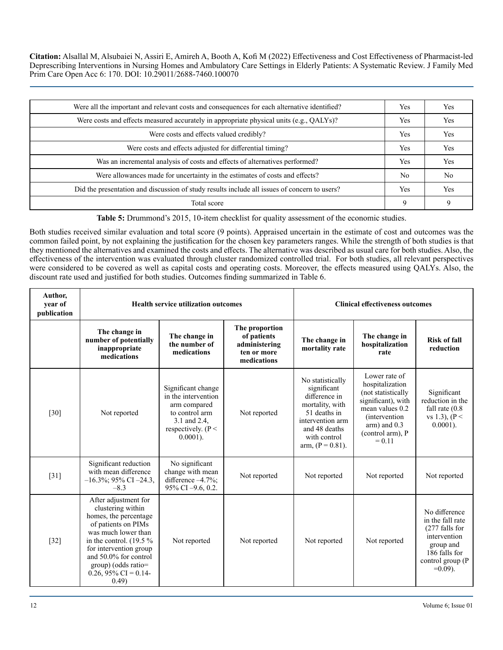| Were all the important and relevant costs and consequences for each alternative identified?  | Yes            | Yes            |
|----------------------------------------------------------------------------------------------|----------------|----------------|
| Were costs and effects measured accurately in appropriate physical units (e.g., QALYs)?      | <b>Yes</b>     | Yes            |
| Were costs and effects valued credibly?                                                      | Yes            | Yes            |
| Were costs and effects adjusted for differential timing?                                     | <b>Yes</b>     | Yes            |
| Was an incremental analysis of costs and effects of alternatives performed?                  | Yes            | Yes            |
| Were allowances made for uncertainty in the estimates of costs and effects?                  | N <sub>0</sub> | N <sub>0</sub> |
| Did the presentation and discussion of study results include all issues of concern to users? | Yes            | Yes            |
| Total score                                                                                  | 9              | 9              |

**Table 5:** Drummond's 2015, 10-item checklist for quality assessment of the economic studies.

Both studies received similar evaluation and total score (9 points). Appraised uncertain in the estimate of cost and outcomes was the common failed point, by not explaining the justification for the chosen key parameters ranges. While the strength of both studies is that they mentioned the alternatives and examined the costs and effects. The alternative was described as usual care for both studies. Also, the effectiveness of the intervention was evaluated through cluster randomized controlled trial. For both studies, all relevant perspectives were considered to be covered as well as capital costs and operating costs. Moreover, the effects measured using QALYs. Also, the discount rate used and justified for both studies. Outcomes finding summarized in Table 6.

| Author,<br>year of<br>publication | <b>Health service utilization outcomes</b>                                                                                                                                                                                                                  |                                                                                                                                    |                                                                              |                                                                                                                                                                 | <b>Clinical effectiveness outcomes</b>                                                                                                                                       |                                                                                                                                     |
|-----------------------------------|-------------------------------------------------------------------------------------------------------------------------------------------------------------------------------------------------------------------------------------------------------------|------------------------------------------------------------------------------------------------------------------------------------|------------------------------------------------------------------------------|-----------------------------------------------------------------------------------------------------------------------------------------------------------------|------------------------------------------------------------------------------------------------------------------------------------------------------------------------------|-------------------------------------------------------------------------------------------------------------------------------------|
|                                   | The change in<br>number of potentially<br>inappropriate<br>medications                                                                                                                                                                                      | The change in<br>the number of<br>medications                                                                                      | The proportion<br>of patients<br>administering<br>ten or more<br>medications | The change in<br>mortality rate                                                                                                                                 | The change in<br>hospitalization<br>rate                                                                                                                                     | <b>Risk of fall</b><br>reduction                                                                                                    |
| $\lceil 30 \rceil$                | Not reported                                                                                                                                                                                                                                                | Significant change<br>in the intervention<br>arm compared<br>to control arm<br>3.1 and 2.4,<br>respectively. $(P <$<br>$0.0001$ ). | Not reported                                                                 | No statistically<br>significant<br>difference in<br>mortality, with<br>51 deaths in<br>intervention arm<br>and 48 deaths<br>with control<br>arm, $(P = 0.81)$ . | Lower rate of<br>hospitalization<br>(not statistically<br>significant), with<br>mean values 0.2<br><i>(intervention)</i><br>$arm)$ and $0.3$<br>(control arm), P<br>$= 0.11$ | Significant<br>reduction in the<br>fall rate $(0.8)$<br>vs 1.3), $(P <$<br>$0.0001$ ).                                              |
| $[31]$                            | Significant reduction<br>with mean difference<br>$-16.3\%$ ; 95% CI $-24.3$ ,<br>$-8.3$                                                                                                                                                                     | No significant<br>change with mean<br>difference -4.7%;<br>95% CI -9.6, 0.2.                                                       | Not reported                                                                 | Not reported                                                                                                                                                    | Not reported                                                                                                                                                                 | Not reported                                                                                                                        |
| $[32]$                            | After adjustment for<br>clustering within<br>homes, the percentage<br>of patients on PIMs<br>was much lower than<br>in the control. $(19.5\%$<br>for intervention group<br>and 50.0% for control<br>$group)$ (odds ratio=<br>0.26, 95% CI = 0.14-<br>(0.49) | Not reported                                                                                                                       | Not reported                                                                 | Not reported                                                                                                                                                    | Not reported                                                                                                                                                                 | No difference<br>in the fall rate<br>(277 falls for<br>intervention<br>group and<br>186 falls for<br>control group (P<br>$=0.09$ ). |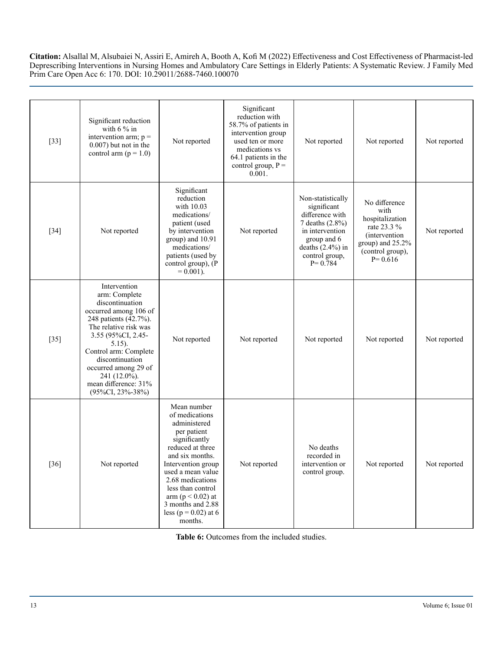|        |                                                                                                                                                                                                                                                                                                       |                                                                                                                                                                                                                                                                                             | Significant                                                                                                                                                  |                                                                                                                                                                  |                                                                                                                                         |              |
|--------|-------------------------------------------------------------------------------------------------------------------------------------------------------------------------------------------------------------------------------------------------------------------------------------------------------|---------------------------------------------------------------------------------------------------------------------------------------------------------------------------------------------------------------------------------------------------------------------------------------------|--------------------------------------------------------------------------------------------------------------------------------------------------------------|------------------------------------------------------------------------------------------------------------------------------------------------------------------|-----------------------------------------------------------------------------------------------------------------------------------------|--------------|
| $[33]$ | Significant reduction<br>with $6\%$ in<br>intervention arm; $p =$<br>$0.007$ ) but not in the<br>control arm ( $p = 1.0$ )                                                                                                                                                                            | Not reported                                                                                                                                                                                                                                                                                | reduction with<br>58.7% of patients in<br>intervention group<br>used ten or more<br>medications vs<br>64.1 patients in the<br>control group, $P =$<br>0.001. | Not reported                                                                                                                                                     | Not reported                                                                                                                            | Not reported |
| $[34]$ | Not reported                                                                                                                                                                                                                                                                                          | Significant<br>reduction<br>with 10.03<br>medications/<br>patient (used<br>by intervention<br>group) and 10.91<br>medications/<br>patients (used by<br>control group), (P<br>$= 0.001$ ).                                                                                                   | Not reported                                                                                                                                                 | Non-statistically<br>significant<br>difference with<br>7 deaths (2.8%)<br>in intervention<br>group and 6<br>deaths $(2.4\%)$ in<br>control group,<br>$P = 0.784$ | No difference<br>with<br>hospitalization<br>rate 23.3 %<br><i>(intervention)</i><br>group) and 25.2%<br>(control group),<br>$P = 0.616$ | Not reported |
| $[35]$ | Intervention<br>arm: Complete<br>discontinuation<br>occurred among 106 of<br>248 patients (42.7%).<br>The relative risk was<br>3.55 (95%CI, 2.45-<br>$5.15$ ).<br>Control arm: Complete<br>discontinuation<br>occurred among 29 of<br>241 (12.0%).<br>mean difference: 31%<br>$(95\%CI, 23\% - 38\%)$ | Not reported                                                                                                                                                                                                                                                                                | Not reported                                                                                                                                                 | Not reported                                                                                                                                                     | Not reported                                                                                                                            | Not reported |
| $[36]$ | Not reported                                                                                                                                                                                                                                                                                          | Mean number<br>of medications<br>administered<br>per patient<br>significantly<br>reduced at three<br>and six months.<br>Intervention group<br>used a mean value<br>2.68 medications<br>less than control<br>$arm (p < 0.02)$ at<br>3 months and 2.88<br>less ( $p = 0.02$ ) at 6<br>months. | Not reported                                                                                                                                                 | No deaths<br>recorded in<br>intervention or<br>control group.                                                                                                    | Not reported                                                                                                                            | Not reported |

**Table 6:** Outcomes from the included studies.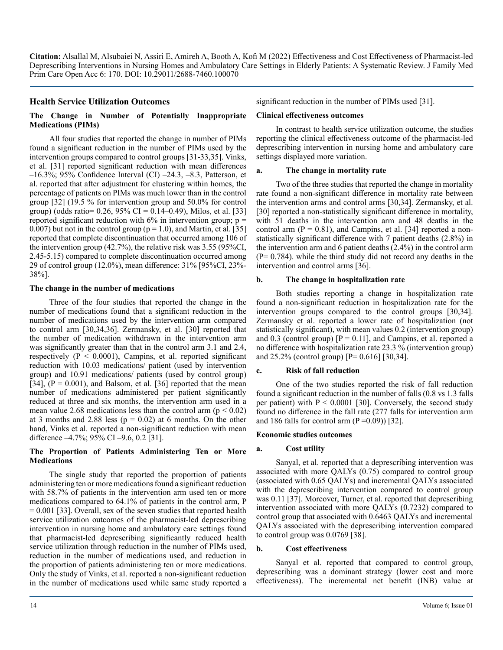# **Health Service Utilization Outcomes**

#### **The Change in Number of Potentially Inappropriate Medications (PIMs)**

All four studies that reported the change in number of PIMs found a significant reduction in the number of PIMs used by the intervention groups compared to control groups [31-33,35]. Vinks, et al. [31] reported significant reduction with mean differences –16.3%; 95% Confidence Interval (CI) –24.3, –8.3, Patterson, et al. reported that after adjustment for clustering within homes, the percentage of patients on PIMs was much lower than in the control group [32] (19.5 % for intervention group and 50.0% for control group) (odds ratio=  $0.26$ ,  $95\%$  CI =  $0.14-0.49$ ), Milos, et al. [33] reported significant reduction with  $6\%$  in intervention group;  $p =$ 0.007) but not in the control group ( $p = 1.0$ ), and Martin, et al. [35] reported that complete discontinuation that occurred among 106 of the intervention group (42.7%), the relative risk was 3.55 (95%CI, 2.45-5.15) compared to complete discontinuation occurred among 29 of control group (12.0%), mean difference: 31% [95%CI, 23%- 38%].

#### **The change in the number of medications**

Three of the four studies that reported the change in the number of medications found that a significant reduction in the number of medications used by the intervention arm compared to control arm [30,34,36]. Zermansky, et al. [30] reported that the number of medication withdrawn in the intervention arm was significantly greater than that in the control arm 3.1 and 2.4, respectively ( $P < 0.0001$ ), Campins, et al. reported significant reduction with 10.03 medications/ patient (used by intervention group) and 10.91 medications/ patients (used by control group) [34],  $(P = 0.001)$ , and Balsom, et al. [36] reported that the mean number of medications administered per patient significantly reduced at three and six months, the intervention arm used in a mean value 2.68 medications less than the control arm ( $p < 0.02$ ) at 3 months and 2.88 less ( $p = 0.02$ ) at 6 months. On the other hand, Vinks et al. reported a non-significant reduction with mean difference –4.7%; 95% CI –9.6, 0.2 [31].

#### **The Proportion of Patients Administering Ten or More Medications**

The single study that reported the proportion of patients administering ten or more medications found a significant reduction with 58.7% of patients in the intervention arm used ten or more medications compared to 64.1% of patients in the control arm, P  $= 0.001$  [33]. Overall, sex of the seven studies that reported health service utilization outcomes of the pharmacist-led deprescribing intervention in nursing home and ambulatory care settings found that pharmacist-led deprescribing significantly reduced health service utilization through reduction in the number of PIMs used, reduction in the number of medications used, and reduction in the proportion of patients administering ten or more medications. Only the study of Vinks, et al. reported a non-significant reduction in the number of medications used while same study reported a

significant reduction in the number of PIMs used [31].

#### **Clinical effectiveness outcomes**

In contrast to health service utilization outcome, the studies reporting the clinical effectiveness outcome of the pharmacist-led deprescribing intervention in nursing home and ambulatory care settings displayed more variation.

#### **a. The change in mortality rate**

Two of the three studies that reported the change in mortality rate found a non-significant difference in mortality rate between the intervention arms and control arms [30,34]. Zermansky, et al. [30] reported a non-statistically significant difference in mortality, with 51 deaths in the intervention arm and 48 deaths in the control arm  $(P = 0.81)$ , and Campins, et al. [34] reported a nonstatistically significant difference with 7 patient deaths (2.8%) in the intervention arm and 6 patient deaths (2.4%) in the control arm  $(P= 0.784)$ . while the third study did not record any deaths in the intervention and control arms [36].

#### **b. The change in hospitalization rate**

Both studies reporting a change in hospitalization rate found a non-significant reduction in hospitalization rate for the intervention groups compared to the control groups [30,34]. Zermansky et al. reported a lower rate of hospitalization (not statistically significant), with mean values 0.2 (intervention group) and 0.3 (control group)  $[P = 0.11]$ , and Campins, et al. reported a no difference with hospitalization rate 23.3 % (intervention group) and 25.2% (control group) [P= 0.616] [30,34].

#### **c. Risk of fall reduction**

One of the two studies reported the risk of fall reduction found a significant reduction in the number of falls (0.8 vs 1.3 falls per patient) with  $P < 0.0001$  [30]. Conversely, the second study found no difference in the fall rate (277 falls for intervention arm and 186 falls for control arm  $(P=0.09)$  [32].

#### **Economic studies outcomes**

#### **a. Cost utility**

Sanyal, et al. reported that a deprescribing intervention was associated with more QALYs (0.75) compared to control group (associated with 0.65 QALYs) and incremental QALYs associated with the deprescribing intervention compared to control group was 0.11 [37]. Moreover, Turner, et al. reported that deprescribing intervention associated with more QALYs (0.7232) compared to control group that associated with 0.6463 QALYs and incremental QALYs associated with the deprescribing intervention compared to control group was 0.0769 [38].

#### **b. Cost effectiveness**

Sanyal et al. reported that compared to control group, deprescribing was a dominant strategy (lower cost and more effectiveness). The incremental net benefit (INB) value at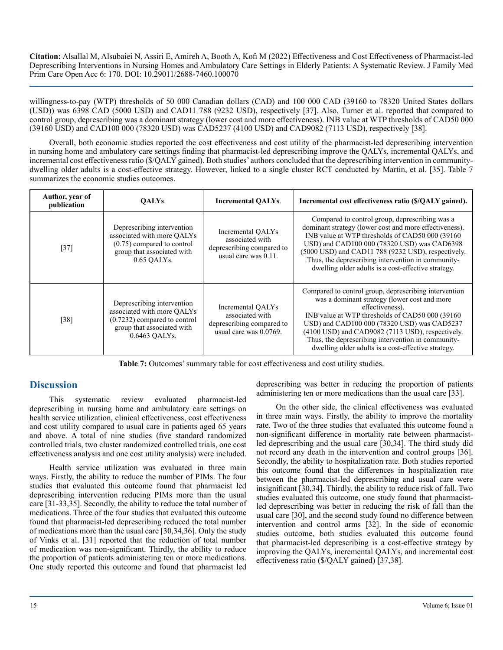willingness-to-pay (WTP) thresholds of 50 000 Canadian dollars (CAD) and 100 000 CAD (39160 to 78320 United States dollars (USD)) was 6398 CAD (5000 USD) and CAD11 788 (9232 USD), respectively [37]. Also, Turner et al. reported that compared to control group, deprescribing was a dominant strategy (lower cost and more effectiveness). INB value at WTP thresholds of CAD50 000 (39160 USD) and CAD100 000 (78320 USD) was CAD5237 (4100 USD) and CAD9082 (7113 USD), respectively [38].

Overall, both economic studies reported the cost effectiveness and cost utility of the pharmacist-led deprescribing intervention in nursing home and ambulatory care settings finding that pharmacist-led deprescribing improve the QALYs, incremental QALYs, and incremental cost effectiveness ratio (\$/QALY gained). Both studies' authors concluded that the deprescribing intervention in communitydwelling older adults is a cost-effective strategy. However, linked to a single cluster RCT conducted by Martin, et al. [35]. Table 7 summarizes the economic studies outcomes.

| Author, year of<br>publication | OALYs.                                                                                                                                    | <b>Incremental QALYs.</b>                                                                   | Incremental cost effectiveness ratio (\$/QALY gained).                                                                                                                                                                                                                                                                                                                                       |
|--------------------------------|-------------------------------------------------------------------------------------------------------------------------------------------|---------------------------------------------------------------------------------------------|----------------------------------------------------------------------------------------------------------------------------------------------------------------------------------------------------------------------------------------------------------------------------------------------------------------------------------------------------------------------------------------------|
| $[37]$                         | Deprescribing intervention<br>associated with more QALYs<br>$(0.75)$ compared to control<br>group that associated with<br>$0.65$ OALYs.   | Incremental QALYs<br>associated with<br>deprescribing compared to<br>usual care was 0.11.   | Compared to control group, deprescribing was a<br>dominant strategy (lower cost and more effectiveness).<br>INB value at WTP thresholds of CAD50 000 (39160)<br>USD) and CAD100 000 (78320 USD) was CAD6398<br>(5000 USD) and CAD11 788 (9232 USD), respectively.<br>Thus, the deprescribing intervention in community-<br>dwelling older adults is a cost-effective strategy.               |
| $[38]$                         | Deprescribing intervention<br>associated with more QALYs<br>$(0.7232)$ compared to control<br>group that associated with<br>0.6463 OALYs. | Incremental QALYs<br>associated with<br>deprescribing compared to<br>usual care was 0.0769. | Compared to control group, deprescribing intervention<br>was a dominant strategy (lower cost and more<br>effectiveness).<br>INB value at WTP thresholds of CAD50 000 (39160)<br>USD) and CAD100 000 (78320 USD) was CAD5237<br>(4100 USD) and CAD9082 (7113 USD), respectively.<br>Thus, the deprescribing intervention in community-<br>dwelling older adults is a cost-effective strategy. |

**Table 7:** Outcomes' summary table for cost effectiveness and cost utility studies.

# **Discussion**

This systematic review evaluated pharmacist-led deprescribing in nursing home and ambulatory care settings on health service utilization, clinical effectiveness, cost effectiveness and cost utility compared to usual care in patients aged 65 years and above. A total of nine studies (five standard randomized controlled trials, two cluster randomized controlled trials, one cost effectiveness analysis and one cost utility analysis) were included.

Health service utilization was evaluated in three main ways. Firstly, the ability to reduce the number of PIMs. The four studies that evaluated this outcome found that pharmacist led deprescribing intervention reducing PIMs more than the usual care [31-33,35]. Secondly, the ability to reduce the total number of medications. Three of the four studies that evaluated this outcome found that pharmacist-led deprescribing reduced the total number of medications more than the usual care [30,34,36]. Only the study of Vinks et al. [31] reported that the reduction of total number of medication was non-significant. Thirdly, the ability to reduce the proportion of patients administering ten or more medications. One study reported this outcome and found that pharmacist led

deprescribing was better in reducing the proportion of patients administering ten or more medications than the usual care [33].

On the other side, the clinical effectiveness was evaluated in three main ways. Firstly, the ability to improve the mortality rate. Two of the three studies that evaluated this outcome found a non-significant difference in mortality rate between pharmacistled deprescribing and the usual care [30,34]. The third study did not record any death in the intervention and control groups [36]. Secondly, the ability to hospitalization rate. Both studies reported this outcome found that the differences in hospitalization rate between the pharmacist-led deprescribing and usual care were insignificant [30,34]. Thirdly, the ability to reduce risk of fall. Two studies evaluated this outcome, one study found that pharmacistled deprescribing was better in reducing the risk of fall than the usual care [30], and the second study found no difference between intervention and control arms [32]. In the side of economic studies outcome, both studies evaluated this outcome found that pharmacist-led deprescribing is a cost-effective strategy by improving the QALYs, incremental QALYs, and incremental cost effectiveness ratio (\$/QALY gained) [37,38].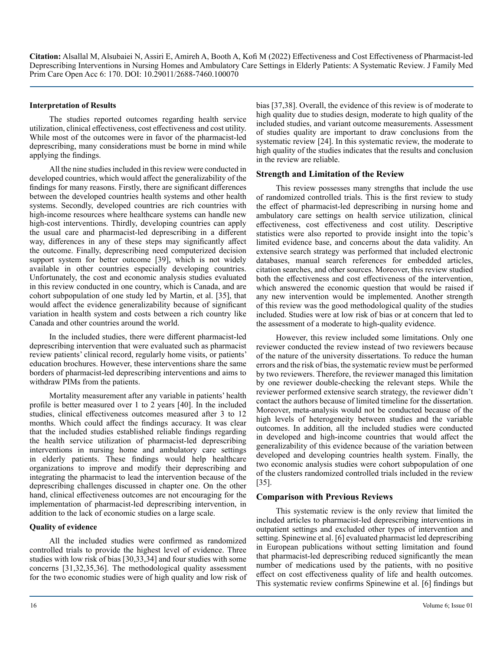#### **Interpretation of Results**

The studies reported outcomes regarding health service utilization, clinical effectiveness, cost effectiveness and cost utility. While most of the outcomes were in favor of the pharmacist-led deprescribing, many considerations must be borne in mind while applying the findings.

All the nine studies included in this review were conducted in developed countries, which would affect the generalizability of the findings for many reasons. Firstly, there are significant differences between the developed countries health systems and other health systems. Secondly, developed countries are rich countries with high-income resources where healthcare systems can handle new high-cost interventions. Thirdly, developing countries can apply the usual care and pharmacist-led deprescribing in a different way, differences in any of these steps may significantly affect the outcome. Finally, deprescribing need computerized decision support system for better outcome [39], which is not widely available in other countries especially developing countries. Unfortunately, the cost and economic analysis studies evaluated in this review conducted in one country, which is Canada, and are cohort subpopulation of one study led by Martin, et al. [35], that would affect the evidence generalizability because of significant variation in health system and costs between a rich country like Canada and other countries around the world.

In the included studies, there were different pharmacist-led deprescribing intervention that were evaluated such as pharmacist review patients' clinical record, regularly home visits, or patients' education brochures. However, these interventions share the same borders of pharmacist-led deprescribing interventions and aims to withdraw PIMs from the patients.

Mortality measurement after any variable in patients' health profile is better measured over 1 to 2 years [40]. In the included studies, clinical effectiveness outcomes measured after 3 to 12 months. Which could affect the findings accuracy. It was clear that the included studies established reliable findings regarding the health service utilization of pharmacist-led deprescribing interventions in nursing home and ambulatory care settings in elderly patients. These findings would help healthcare organizations to improve and modify their deprescribing and integrating the pharmacist to lead the intervention because of the deprescribing challenges discussed in chapter one. On the other hand, clinical effectiveness outcomes are not encouraging for the implementation of pharmacist-led deprescribing intervention, in addition to the lack of economic studies on a large scale.

#### **Quality of evidence**

All the included studies were confirmed as randomized controlled trials to provide the highest level of evidence. Three studies with low risk of bias [30,33,34] and four studies with some concerns [31,32,35,36]. The methodological quality assessment for the two economic studies were of high quality and low risk of

bias [37,38]. Overall, the evidence of this review is of moderate to high quality due to studies design, moderate to high quality of the included studies, and variant outcome measurements. Assessment of studies quality are important to draw conclusions from the systematic review [24]. In this systematic review, the moderate to high quality of the studies indicates that the results and conclusion in the review are reliable.

# **Strength and Limitation of the Review**

This review possesses many strengths that include the use of randomized controlled trials. This is the first review to study the effect of pharmacist-led deprescribing in nursing home and ambulatory care settings on health service utilization, clinical effectiveness, cost effectiveness and cost utility. Descriptive statistics were also reported to provide insight into the topic's limited evidence base, and concerns about the data validity. An extensive search strategy was performed that included electronic databases, manual search references for embedded articles, citation searches, and other sources. Moreover, this review studied both the effectiveness and cost effectiveness of the intervention, which answered the economic question that would be raised if any new intervention would be implemented. Another strength of this review was the good methodological quality of the studies included. Studies were at low risk of bias or at concern that led to the assessment of a moderate to high-quality evidence.

However, this review included some limitations. Only one reviewer conducted the review instead of two reviewers because of the nature of the university dissertations. To reduce the human errors and the risk of bias, the systematic review must be performed by two reviewers. Therefore, the reviewer managed this limitation by one reviewer double-checking the relevant steps. While the reviewer performed extensive search strategy, the reviewer didn't contact the authors because of limited timeline for the dissertation. Moreover, meta-analysis would not be conducted because of the high levels of heterogeneity between studies and the variable outcomes. In addition, all the included studies were conducted in developed and high-income countries that would affect the generalizability of this evidence because of the variation between developed and developing countries health system. Finally, the two economic analysis studies were cohort subpopulation of one of the clusters randomized controlled trials included in the review [35].

# **Comparison with Previous Reviews**

This systematic review is the only review that limited the included articles to pharmacist-led deprescribing interventions in outpatient settings and excluded other types of intervention and setting. Spinewine et al. [6] evaluated pharmacist led deprescribing in European publications without setting limitation and found that pharmacist-led deprescribing reduced significantly the mean number of medications used by the patients, with no positive effect on cost effectiveness quality of life and health outcomes. This systematic review confirms Spinewine et al. [6] findings but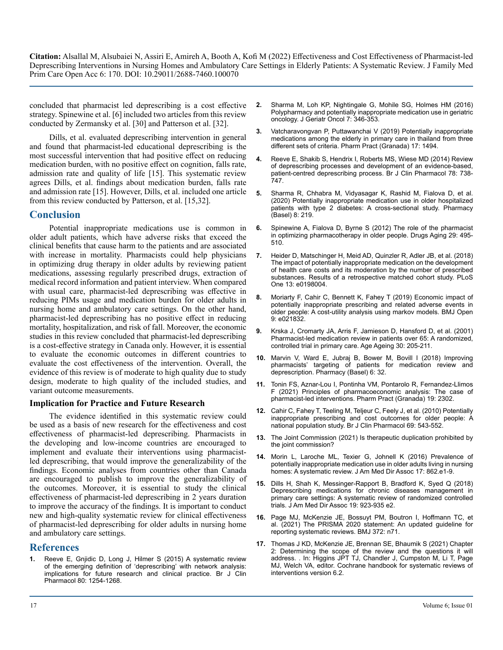concluded that pharmacist led deprescribing is a cost effective strategy. Spinewine et al. [6] included two articles from this review conducted by Zermansky et al. [30] and Patterson et al. [32].

Dills, et al. evaluated deprescribing intervention in general and found that pharmacist-led educational deprescribing is the most successful intervention that had positive effect on reducing medication burden, with no positive effect on cognition, falls rate, admission rate and quality of life [15]. This systematic review agrees Dills, et al. findings about medication burden, falls rate and admission rate [15]. However, Dills, et al. included one article from this review conducted by Patterson, et al. [15,32].

# **Conclusion**

Potential inappropriate medications use is common in older adult patients, which have adverse risks that exceed the clinical benefits that cause harm to the patients and are associated with increase in mortality. Pharmacists could help physicians in optimizing drug therapy in older adults by reviewing patient medications, assessing regularly prescribed drugs, extraction of medical record information and patient interview. When compared with usual care, pharmacist-led deprescribing was effective in reducing PIMs usage and medication burden for older adults in nursing home and ambulatory care settings. On the other hand, pharmacist-led deprescribing has no positive effect in reducing mortality, hospitalization, and risk of fall. Moreover, the economic studies in this review concluded that pharmacist-led deprescribing is a cost-effective strategy in Canada only. However, it is essential to evaluate the economic outcomes in different countries to evaluate the cost effectiveness of the intervention. Overall, the evidence of this review is of moderate to high quality due to study design, moderate to high quality of the included studies, and variant outcome measurements.

#### **Implication for Practice and Future Research**

The evidence identified in this systematic review could be used as a basis of new research for the effectiveness and cost effectiveness of pharmacist-led deprescribing. Pharmacists in the developing and low-income countries are encouraged to implement and evaluate their interventions using pharmacistled deprescribing, that would improve the generalizability of the findings. Economic analyses from countries other than Canada are encouraged to publish to improve the generalizability of the outcomes. Moreover, it is essential to study the clinical effectiveness of pharmacist-led deprescribing in 2 years duration to improve the accuracy of the findings. It is important to conduct new and high-quality systematic review for clinical effectiveness of pharmacist-led deprescribing for older adults in nursing home and ambulatory care settings.

# **References**

**1.** [Reeve E, Gnjidic D, Long J, Hilmer S \(2015\) A systematic review](https://pubmed.ncbi.nlm.nih.gov/27006985/)  [of the emerging definition of 'deprescribing' with network analysis:](https://pubmed.ncbi.nlm.nih.gov/27006985/)  [implications for future research and clinical practice. Br J Clin](https://pubmed.ncbi.nlm.nih.gov/27006985/)  [Pharmacol 80: 1254-1268.](https://pubmed.ncbi.nlm.nih.gov/27006985/)

- **2.** [Sharma M, Loh KP, Nightingale G, Mohile SG, Holmes HM \(2016\)](https://pubmed.ncbi.nlm.nih.gov/27498305/)  [Polypharmacy and potentially inappropriate medication use in geriatric](https://pubmed.ncbi.nlm.nih.gov/27498305/)  [oncology. J Geriatr Oncol 7: 346-353.](https://pubmed.ncbi.nlm.nih.gov/27498305/)
- **3.** [Vatcharavongvan P, Puttawanchai V \(2019\) Potentially inappropriate](https://pubmed.ncbi.nlm.nih.gov/31592037/)  [medications among the elderly in primary care in thailand from three](https://pubmed.ncbi.nlm.nih.gov/31592037/)  [different sets of criteria. Pharm Pract \(Granada\) 17: 1494.](https://pubmed.ncbi.nlm.nih.gov/31592037/)
- **4.** [Reeve E, Shakib S, Hendrix I, Roberts MS, Wiese MD \(2014\) Review](https://pubmed.ncbi.nlm.nih.gov/24661192/)  [of deprescribing processes and development of an evidence-based,](https://pubmed.ncbi.nlm.nih.gov/24661192/)  [patient-centred deprescribing process. Br J Clin Pharmacol 78: 738-](https://pubmed.ncbi.nlm.nih.gov/24661192/) [747.](https://pubmed.ncbi.nlm.nih.gov/24661192/)
- **5.** [Sharma R, Chhabra M, Vidyasagar K, Rashid M, Fialova D, et al.](https://pubmed.ncbi.nlm.nih.gov/33212819/)  [\(2020\) Potentially inappropriate medication use in older hospitalized](https://pubmed.ncbi.nlm.nih.gov/33212819/)  [patients with type 2 diabetes: A cross-sectional study. Pharmacy](https://pubmed.ncbi.nlm.nih.gov/33212819/)  [\(Basel\) 8: 219.](https://pubmed.ncbi.nlm.nih.gov/33212819/)
- **6.** [Spinewine A, Fialova D, Byrne S \(2012\) The role of the pharmacist](https://pubmed.ncbi.nlm.nih.gov/22642783/)  [in optimizing pharmacotherapy in older people. Drugs Aging 29: 495-](https://pubmed.ncbi.nlm.nih.gov/22642783/) [510.](https://pubmed.ncbi.nlm.nih.gov/22642783/)
- **7.** [Heider D, Matschinger H, Meid AD, Quinzler R, Adler JB, et al. \(2018\)](https://pubmed.ncbi.nlm.nih.gov/30063697/)  [The impact of potentially inappropriate medication on the development](https://pubmed.ncbi.nlm.nih.gov/30063697/)  [of health care costs and its moderation by the number of prescribed](https://pubmed.ncbi.nlm.nih.gov/30063697/)  [substances. Results of a retrospective matched cohort study. PLoS](https://pubmed.ncbi.nlm.nih.gov/30063697/)  [One 13: e0198004.](https://pubmed.ncbi.nlm.nih.gov/30063697/)
- **8.** [Moriarty F, Cahir C, Bennett K, Fahey T \(2019\) Economic impact of](https://bmjopen.bmj.com/content/9/1/e021832)  [potentially inappropriate prescribing and related adverse events in](https://bmjopen.bmj.com/content/9/1/e021832)  [older people: A cost-utility analysis using markov models. BMJ Open](https://bmjopen.bmj.com/content/9/1/e021832)  [9: e021832.](https://bmjopen.bmj.com/content/9/1/e021832)
- **9.** [Krska J, Cromarty JA, Arris F, Jamieson D, Hansford D, et al. \(2001\)](https://pubmed.ncbi.nlm.nih.gov/11443021/)  [Pharmacist-led medication review in patients over 65: A randomized,](https://pubmed.ncbi.nlm.nih.gov/11443021/)  [controlled trial in primary care. Age Ageing 30: 205-211.](https://pubmed.ncbi.nlm.nih.gov/11443021/)
- **10.** [Marvin V, Ward E, Jubraj B, Bower M, Bovill I \(2018\) Improving](https://pubmed.ncbi.nlm.nih.gov/29659552/)  [pharmacists' targeting of patients for medication review and](https://pubmed.ncbi.nlm.nih.gov/29659552/)  [deprescription. Pharmacy \(Basel\) 6: 32.](https://pubmed.ncbi.nlm.nih.gov/29659552/)
- **11.** [Tonin FS, Aznar-Lou I, Pontinha VM, Pontarolo R, Fernandez-Llimos](https://pubmed.ncbi.nlm.nih.gov/33727994/)  [F \(2021\) Principles of pharmacoeconomic analysis: The case of](https://pubmed.ncbi.nlm.nih.gov/33727994/) [pharmacist-led interventions. Pharm Pract \(Granada\) 19: 2302.](https://pubmed.ncbi.nlm.nih.gov/33727994/)
- **12.** [Cahir C, Fahey T, Teeling M, Teljeur C, Feely J, et al. \(2010\) Potentially](https://pubmed.ncbi.nlm.nih.gov/20573091/)  [inappropriate prescribing and cost outcomes for older people: A](https://pubmed.ncbi.nlm.nih.gov/20573091/)  [national population study. Br J Clin Pharmacol 69: 543-552.](https://pubmed.ncbi.nlm.nih.gov/20573091/)
- **13.** [The Joint Commission \(2021\) Is therapeutic duplication prohibited by](https://www.jointcommission.org/standards/standard-faqs/hospital-and-hospital-clinics/medication-management-mm/000002339)  [the joint commission?](https://www.jointcommission.org/standards/standard-faqs/hospital-and-hospital-clinics/medication-management-mm/000002339)
- **14.** [Morin L, Laroche ML, Texier G, Johnell K \(2016\) Prevalence of](https://pubmed.ncbi.nlm.nih.gov/27473899/)  potentially inappropriate medication use in older adults living in nursing [homes: A systematic review. J Am Med Dir Assoc 17: 862.e1-9.](https://pubmed.ncbi.nlm.nih.gov/27473899/)
- **15.** [Dills H, Shah K, Messinger-Rapport B, Bradford K, Syed Q \(2018\)](https://pubmed.ncbi.nlm.nih.gov/30108032/)  [Deprescribing medications for chronic diseases management in](https://pubmed.ncbi.nlm.nih.gov/30108032/)  [primary care settings: A systematic review of randomized controlled](https://pubmed.ncbi.nlm.nih.gov/30108032/)  [trials. J Am Med Dir Assoc 19: 923-935 e2.](https://pubmed.ncbi.nlm.nih.gov/30108032/)
- **16.** [Page MJ, McKenzie JE, Bossuyt PM, Boutron I, Hoffmann TC, et](https://pubmed.ncbi.nlm.nih.gov/33782057/)  [al. \(2021\) The PRISMA 2020 statement: An updated guideline for](https://pubmed.ncbi.nlm.nih.gov/33782057/)  [reporting systematic reviews. BMJ 372: n71.](https://pubmed.ncbi.nlm.nih.gov/33782057/)
- **17.** [Thomas J KD, McKenzie JE, Brennan SE, Bhaumik S \(2021\) Chapter](http://www.training.cochrane.org/handbook)  [2: Determining the scope of the review and the questions it will](http://www.training.cochrane.org/handbook)  [address. . In: Higgins JPT TJ, Chandler J, Cumpston M, Li T, Page](http://www.training.cochrane.org/handbook)  [MJ, Welch VA, editor. Cochrane handbook for systematic reviews of](http://www.training.cochrane.org/handbook)  [interventions version 6.2.](http://www.training.cochrane.org/handbook)